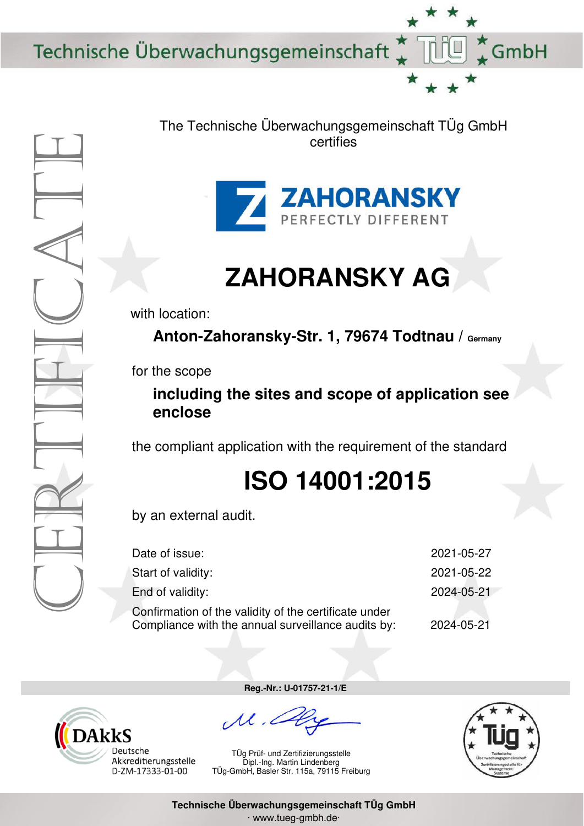Technische Überwachungsgemeinschaft



The Technische Überwachungsgemeinschaft TÜg GmbH certifies



## **ZAHORANSKY AG**

with location:

Anton-Zahoransky-Str. 1, 79674 Todtnau / Germany

for the scope

## **including the sites and scope of application see enclose**

the compliant application with the requirement of the standard

## **ISO 14001:2015**

by an external audit.

| Date of issue:                                                                                              | 2021-05-27 |
|-------------------------------------------------------------------------------------------------------------|------------|
| Start of validity:                                                                                          | 2021-05-22 |
| End of validity:                                                                                            | 2024-05-21 |
| Confirmation of the validity of the certificate under<br>Compliance with the annual surveillance audits by: | 2024-05-21 |



**Reg.-Nr.: U-01757-21-1/E**

TÜg Prüf- und Zertifizierungsstelle Dipl.-Ing. Martin Lindenberg TÜg-GmbH, Basler Str. 115a, 79115 Freiburg



GmbH

**Technische Überwachungsgemeinschaft TÜg GmbH**  ∙ www.tueg-gmbh.de∙